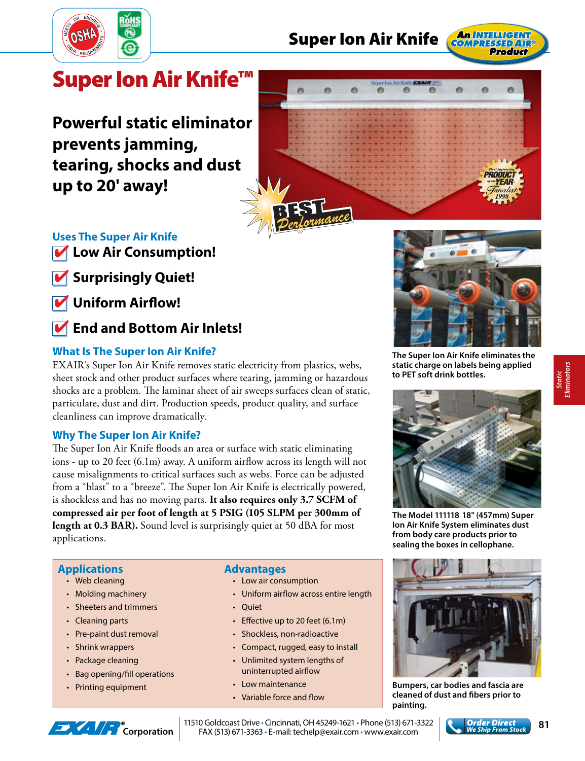

# **Super Ion Air Knife**



# **Super Ion Air Knife™**

**Powerful static eliminator prevents jamming, tearing, shocks and dust up to 20' away!**



## **Uses The Super Air Knife**

- **Low Air Consumption!**
- **Surprisingly Quiet!**
- **Uniform Airflow!**
- **End and Bottom Air Inlets!**

### **What Is The Super Ion Air Knife?**

EXAIR's Super Ion Air Knife removes static electricity from plastics, webs, sheet stock and other product surfaces where tearing, jamming or hazardous shocks are a problem. The laminar sheet of air sweeps surfaces clean of static, particulate, dust and dirt. Production speeds, product quality, and surface cleanliness can improve dramatically.

#### **Why The Super Ion Air Knife?**

The Super Ion Air Knife floods an area or surface with static eliminating ions - up to 20 feet  $(6.1m)$  away. A uniform airflow across its length will not cause misalignments to critical surfaces such as webs. Force can be adjusted from a "blast" to a "breeze". The Super Ion Air Knife is electrically powered, is shockless and has no moving parts. **It also requires only 3.7 SCFM of compressed air per foot of length at 5 PSIG (105 SLPM per 300mm of length at 0.3 BAR).** Sound level is surprisingly quiet at 50 dBA for most applications.

#### **Applications**

- Web cleaning
- Molding machinery
- Sheeters and trimmers
- Cleaning parts
- Pre-paint dust removal
- Shrink wrappers
- Package cleaning
- Bag opening/fill operations
- Printing equipment

#### **Advantages**

- Low air consumption
- Uniform airflow across entire length
- Quiet
- $\cdot$  Effective up to 20 feet (6.1m)
- Shockless, non-radioactive
- Compact, rugged, easy to install
- Unlimited system lengths of uninterrupted airflow
- Low maintenance
- Variable force and flow



**The Super Ion Air Knife eliminates the static charge on labels being applied to PET soft drink bottles.** 



**The Model 111118 18" (457mm) Super Ion Air Knife System eliminates dust from body care products prior to sealing the boxes in cellophane.**



**Bumpers, car bodies and fascia are cleaned of dust and fi bers prior to painting.**



**Corporation** | 11510 Goldcoast Drive • Cincinnati, OH 45249-1621 • Phone (513) 671-3322 **Corporation | FAX (513) 671-3363** • E-mail: techelp@exair.com • www.exair.com **Corporation | FAX (513) 671-3363** • E-mail: techelp@e 11510 Goldcoast Drive • Cincinnati, OH 45249-1621 • Phone (513) 671-3322